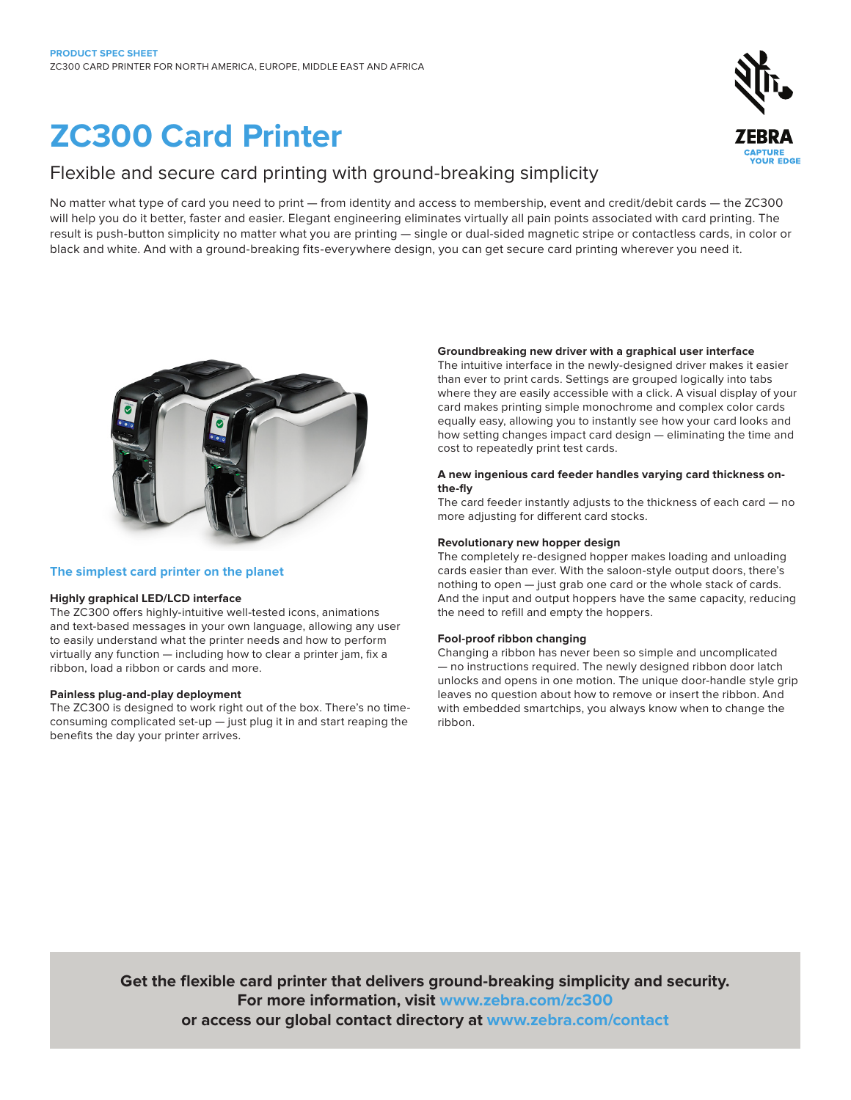# **ZC300 Card Printer**

# Flexible and secure card printing with ground-breaking simplicity

No matter what type of card you need to print — from identity and access to membership, event and credit/debit cards — the ZC300 will help you do it better, faster and easier. Elegant engineering eliminates virtually all pain points associated with card printing. The result is push-button simplicity no matter what you are printing — single or dual-sided magnetic stripe or contactless cards, in color or black and white. And with a ground-breaking fits-everywhere design, you can get secure card printing wherever you need it.



# **The simplest card printer on the planet**

# **Highly graphical LED/LCD interface**

The ZC300 offers highly-intuitive well-tested icons, animations and text-based messages in your own language, allowing any user to easily understand what the printer needs and how to perform virtually any function — including how to clear a printer jam, fix a ribbon, load a ribbon or cards and more.

# **Painless plug-and-play deployment**

The ZC300 is designed to work right out of the box. There's no timeconsuming complicated set-up — just plug it in and start reaping the benefits the day your printer arrives.

# **Groundbreaking new driver with a graphical user interface**

The intuitive interface in the newly-designed driver makes it easier than ever to print cards. Settings are grouped logically into tabs where they are easily accessible with a click. A visual display of your card makes printing simple monochrome and complex color cards equally easy, allowing you to instantly see how your card looks and how setting changes impact card design — eliminating the time and cost to repeatedly print test cards.

# **A new ingenious card feeder handles varying card thickness onthe-fly**

The card feeder instantly adjusts to the thickness of each card — no more adjusting for different card stocks.

# **Revolutionary new hopper design**

The completely re-designed hopper makes loading and unloading cards easier than ever. With the saloon-style output doors, there's nothing to open — just grab one card or the whole stack of cards. And the input and output hoppers have the same capacity, reducing the need to refill and empty the hoppers.

### **Fool-proof ribbon changing**

Changing a ribbon has never been so simple and uncomplicated — no instructions required. The newly designed ribbon door latch unlocks and opens in one motion. The unique door-handle style grip leaves no question about how to remove or insert the ribbon. And with embedded smartchips, you always know when to change the ribbon.

**Get the flexible card printer that delivers ground-breaking simplicity and security. For more information, visit www.zebra.com/zc300 or access our global contact directory at www.zebra.com/contact**

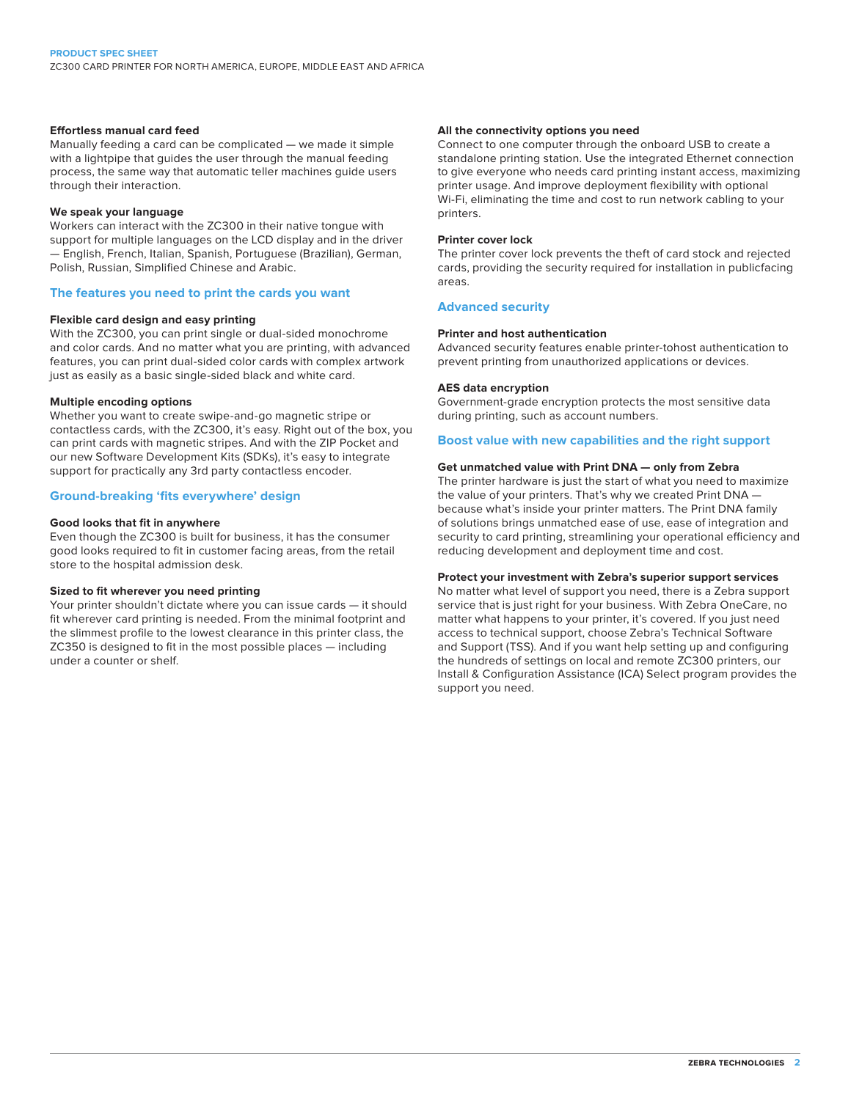### **Effortless manual card feed**

Manually feeding a card can be complicated — we made it simple with a lightpipe that guides the user through the manual feeding process, the same way that automatic teller machines guide users through their interaction.

### **We speak your language**

Workers can interact with the ZC300 in their native tongue with support for multiple languages on the LCD display and in the driver — English, French, Italian, Spanish, Portuguese (Brazilian), German, Polish, Russian, Simplified Chinese and Arabic.

### **The features you need to print the cards you want**

### **Flexible card design and easy printing**

With the ZC300, you can print single or dual-sided monochrome and color cards. And no matter what you are printing, with advanced features, you can print dual-sided color cards with complex artwork just as easily as a basic single-sided black and white card.

### **Multiple encoding options**

Whether you want to create swipe-and-go magnetic stripe or contactless cards, with the ZC300, it's easy. Right out of the box, you can print cards with magnetic stripes. And with the ZIP Pocket and our new Software Development Kits (SDKs), it's easy to integrate support for practically any 3rd party contactless encoder.

### **Ground-breaking 'fits everywhere' design**

### **Good looks that fit in anywhere**

Even though the ZC300 is built for business, it has the consumer good looks required to fit in customer facing areas, from the retail store to the hospital admission desk.

### **Sized to fit wherever you need printing**

Your printer shouldn't dictate where you can issue cards — it should fit wherever card printing is needed. From the minimal footprint and the slimmest profile to the lowest clearance in this printer class, the ZC350 is designed to fit in the most possible places — including under a counter or shelf.

### **All the connectivity options you need**

Connect to one computer through the onboard USB to create a standalone printing station. Use the integrated Ethernet connection to give everyone who needs card printing instant access, maximizing printer usage. And improve deployment flexibility with optional Wi-Fi, eliminating the time and cost to run network cabling to your printers.

### **Printer cover lock**

The printer cover lock prevents the theft of card stock and rejected cards, providing the security required for installation in publicfacing areas.

### **Advanced security**

### **Printer and host authentication**

Advanced security features enable printer-tohost authentication to prevent printing from unauthorized applications or devices.

### **AES data encryption**

Government-grade encryption protects the most sensitive data during printing, such as account numbers.

### **Boost value with new capabilities and the right support**

### **Get unmatched value with Print DNA — only from Zebra**

The printer hardware is just the start of what you need to maximize the value of your printers. That's why we created Print DNA because what's inside your printer matters. The Print DNA family of solutions brings unmatched ease of use, ease of integration and security to card printing, streamlining your operational efficiency and reducing development and deployment time and cost.

### **Protect your investment with Zebra's superior support services**

No matter what level of support you need, there is a Zebra support service that is just right for your business. With Zebra OneCare, no matter what happens to your printer, it's covered. If you just need access to technical support, choose Zebra's Technical Software and Support (TSS). And if you want help setting up and configuring the hundreds of settings on local and remote ZC300 printers, our Install & Configuration Assistance (ICA) Select program provides the support you need.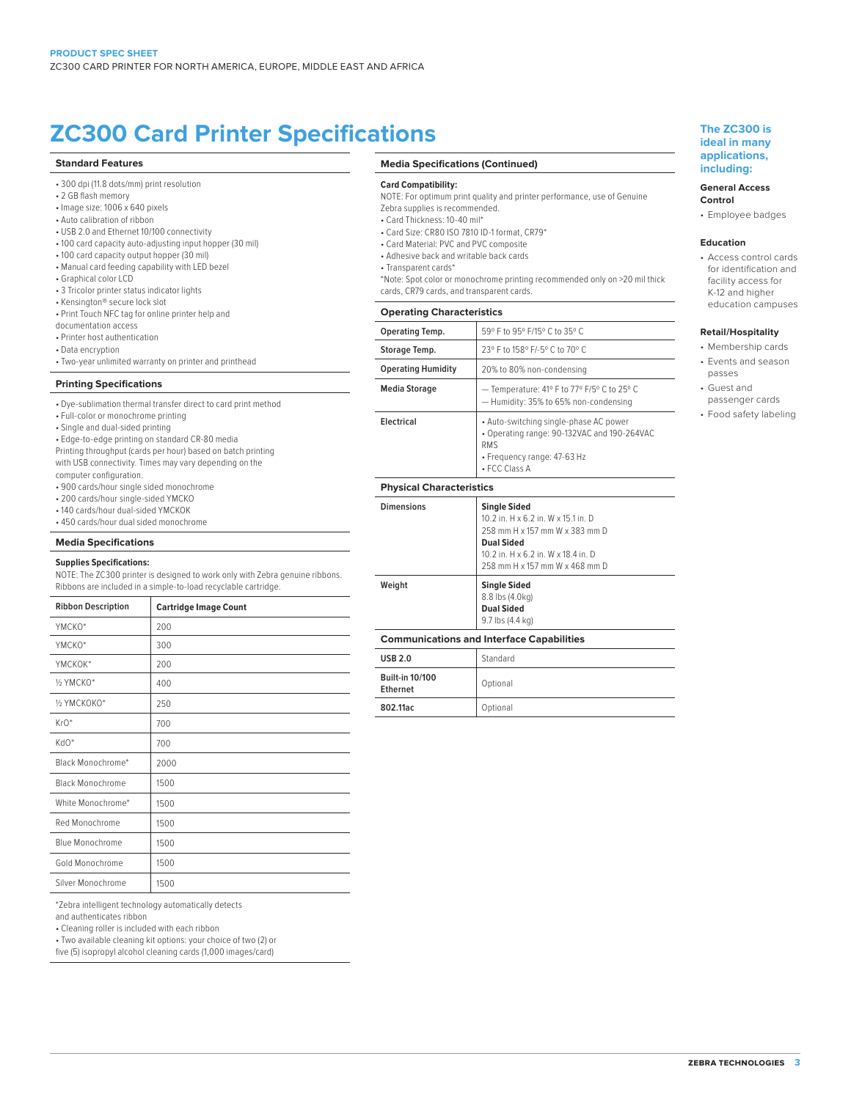# **ZC300 Card Printer Specifications The ZC300 is**

### **Standard Features**

- 300 dpi (11.8 dots/mm) print resolution
- 2 GB flash memory
- Image size: 1006 x 640 pixels
- Auto calibration of ribbon
- USB 2.0 and Ethernet 10/100 connectivity
- 100 card capacity auto-adjusting input hopper (30 mil)
- 100 card capacity output hopper (30 mil)
- Manual card feeding capability with LED bezel
- Graphical color LCD
- 3 Tricolor printer status indicator lights
- Kensington® secure lock slot
- Print Touch NFC tag for online printer help and

documentation access

- Printer host authentication
- Data encryption
- Two-year unlimited warranty on printer and printhead

### **Printing Specifications**

- Dye-sublimation thermal transfer direct to card print method
- Full-color or monochrome printing
- Single and dual-sided printing
- Edge-to-edge printing on standard CR-80 media
- Printing throughput (cards per hour) based on batch printing
- with USB connectivity. Times may vary depending on the computer configuration.
- 900 cards/hour single sided monochrome
- 200 cards/hour single-sided YMCKO
- 140 cards/hour dual-sided YMCKOK
- 450 cards/hour dual sided monochrome

### **Media Specifications**

### **Supplies Specifications:**

NOTE: The ZC300 printer is designed to work only with Zebra genuine ribbons. Ribbons are included in a simple-to-load recyclable cartridge.

| <b>Ribbon Description</b> | <b>Cartridge Image Count</b> |
|---------------------------|------------------------------|
| YMCKO*                    | 200                          |
| YMCKO*                    | 300                          |
| YMCKOK*                   | 200                          |
| 1/2 YMCKO*                | 400                          |
| 1/2 YMCKOKO*              | 250                          |
| $KrO*$                    | 700                          |
| KdO*                      | 700                          |
| Black Monochrome*         | 2000                         |
| <b>Black Monochrome</b>   | 1500                         |
| White Monochrome*         | 1500                         |
| Red Monochrome            | 1500                         |
| <b>Blue Monochrome</b>    | 1500                         |
| Gold Monochrome           | 1500                         |
| Silver Monochrome         | 1500                         |

\*Zebra intelligent technology automatically detects

and authenticates ribbon

• Cleaning roller is included with each ribbon

• Two available cleaning kit options: your choice of two (2) or

five (5) isopropyl alcohol cleaning cards (1,000 images/card)

### **Media Specifications (Continued)**

#### **Card Compatibility:**

- NOTE: For optimum print quality and printer performance, use of Genuine Zebra supplies is recommended.
- Card Thickness: 10-40 mil\*
- Card Size: CR80 ISO 7810 ID-1 format, CR79\*
- Card Material: PVC and PVC composite
- Adhesive back and writable back cards
- Transparent cards\*
- \*Note: Spot color or monochrome printing recommended only on >20 mil thick cards, CR79 cards, and transparent cards.
- **Operating Characteristics**

| Operating Characteristics       |                                                                                                                                                     |
|---------------------------------|-----------------------------------------------------------------------------------------------------------------------------------------------------|
| Operating Temp.                 | 59° F to 95° F/15° C to 35° C                                                                                                                       |
| Storage Temp.                   | 23° F to 158° F/-5° C to 70° C                                                                                                                      |
| <b>Operating Humidity</b>       | 20% to 80% non-condensing                                                                                                                           |
| Media Storage                   | - Temperature: 41° F to 77° F/5° C to 25° C<br>- Humidity: 35% to 65% non-condensing                                                                |
| Electrical                      | • Auto-switching single-phase AC power<br>• Operating range: 90-132VAC and 190-264VAC<br><b>RMS</b><br>• Frequency range: 47-63 Hz<br>• FCC Class A |
| <b>Physical Characteristics</b> |                                                                                                                                                     |
| <b>Dimensions</b>               | <b>Single Sided</b><br>10.2 in. H x 6.2 in. W x 15.1 in. D                                                                                          |

### **ideal in many applications, including:**

# **General Access**

**Control** • Employee badges

### **Education**

• Access control cards for identification and facility access for K-12 and higher education campuses

### **Retail/Hospitality**

- Membership cards
- Events and season
- passes
- Guest and passenger cards
- Food safety labeling

|                          | - Humidity: 35% to 65% non-condensing                                                                                                                                                      |
|--------------------------|--------------------------------------------------------------------------------------------------------------------------------------------------------------------------------------------|
| Electrical               | • Auto-switching single-phase AC power<br>• Operating range: 90-132VAC and 190-264VA<br><b>RMS</b><br>• Frequency range: 47-63 Hz<br>• FCC Class A                                         |
| Physical Characteristics |                                                                                                                                                                                            |
| <b>Dimensions</b>        | <b>Single Sided</b><br>10.2 in. H x 6.2 in. W x 15.1 in. D<br>258 mm H x 157 mm W x 383 mm D<br><b>Dual Sided</b><br>10.2 in, H x 6.2 in, W x 18.4 in, D<br>258 mm H x 157 mm W x 468 mm D |
| Weight                   | <b>Single Sided</b><br>8.8 lbs (4.0kg)                                                                                                                                                     |

# 9.7 lbs (4.4 kg) **Communications and Interface Capabilities**

**Dual Sided**

| <b>USB 2.0</b>                     | Standard |
|------------------------------------|----------|
| <b>Built-in 10/100</b><br>Ethernet | Optional |
| 802.11ac                           | Optional |